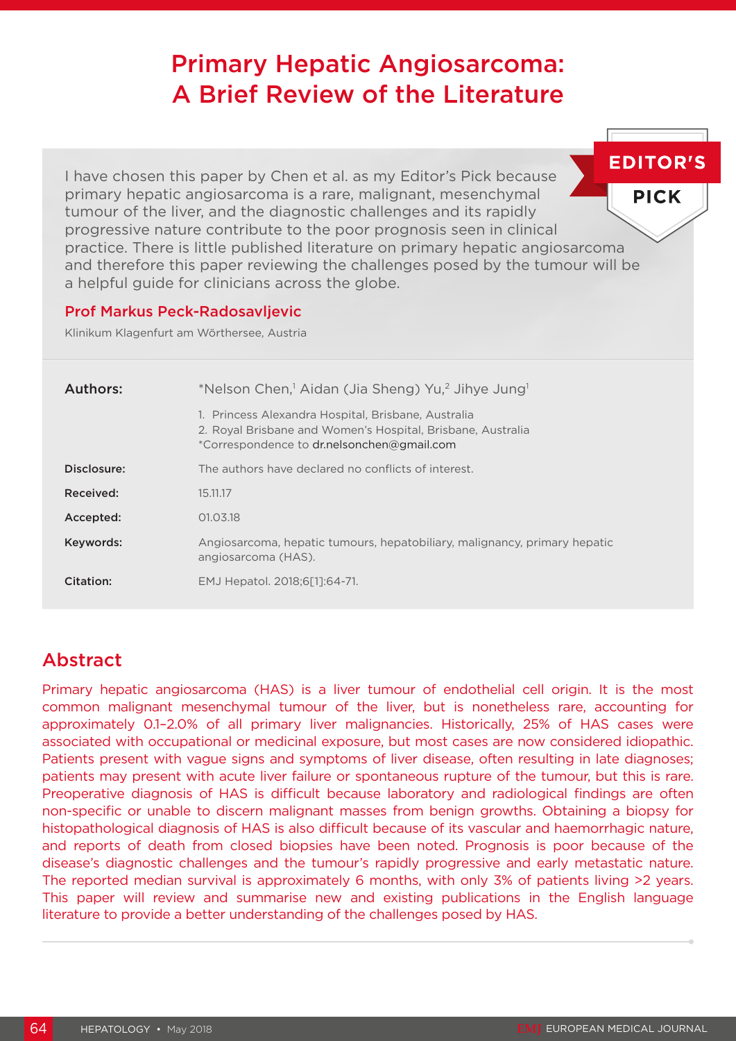# Primary Hepatic Angiosarcoma: A Brief Review of the Literature

**EDITOR'S** I have chosen this paper by Chen et al. as my Editor's Pick because primary hepatic angiosarcoma is a rare, malignant, mesenchymal **PICK** tumour of the liver, and the diagnostic challenges and its rapidly progressive nature contribute to the poor prognosis seen in clinical practice. There is little published literature on primary hepatic angiosarcoma and therefore this paper reviewing the challenges posed by the tumour will be a helpful guide for clinicians across the globe.

#### Prof Markus Peck-Radosavljevic

Klinikum Klagenfurt am Wörthersee, Austria

| Authors:    | *Nelson Chen, <sup>1</sup> Aidan (Jia Sheng) Yu, <sup>2</sup> Jihye Jung <sup>1</sup>                                                                            |
|-------------|------------------------------------------------------------------------------------------------------------------------------------------------------------------|
|             | 1. Princess Alexandra Hospital, Brisbane, Australia<br>2. Royal Brisbane and Women's Hospital, Brisbane, Australia<br>*Correspondence to dr.nelsonchen@gmail.com |
| Disclosure: | The authors have declared no conflicts of interest.                                                                                                              |
| Received:   | 15.11.17                                                                                                                                                         |
| Accepted:   | 01.03.18                                                                                                                                                         |
| Keywords:   | Angiosarcoma, hepatic tumours, hepatobiliary, malignancy, primary hepatic<br>angiosarcoma (HAS).                                                                 |
| Citation:   | EMJ Hepatol. 2018;6[1]:64-71.                                                                                                                                    |

## Abstract

Primary hepatic angiosarcoma (HAS) is a liver tumour of endothelial cell origin. It is the most common malignant mesenchymal tumour of the liver, but is nonetheless rare, accounting for approximately 0.1–2.0% of all primary liver malignancies. Historically, 25% of HAS cases were associated with occupational or medicinal exposure, but most cases are now considered idiopathic. Patients present with vague signs and symptoms of liver disease, often resulting in late diagnoses; patients may present with acute liver failure or spontaneous rupture of the tumour, but this is rare. Preoperative diagnosis of HAS is difficult because laboratory and radiological findings are often non-specific or unable to discern malignant masses from benign growths. Obtaining a biopsy for histopathological diagnosis of HAS is also difficult because of its vascular and haemorrhagic nature, and reports of death from closed biopsies have been noted. Prognosis is poor because of the disease's diagnostic challenges and the tumour's rapidly progressive and early metastatic nature. The reported median survival is approximately 6 months, with only 3% of patients living >2 years. This paper will review and summarise new and existing publications in the English language literature to provide a better understanding of the challenges posed by HAS.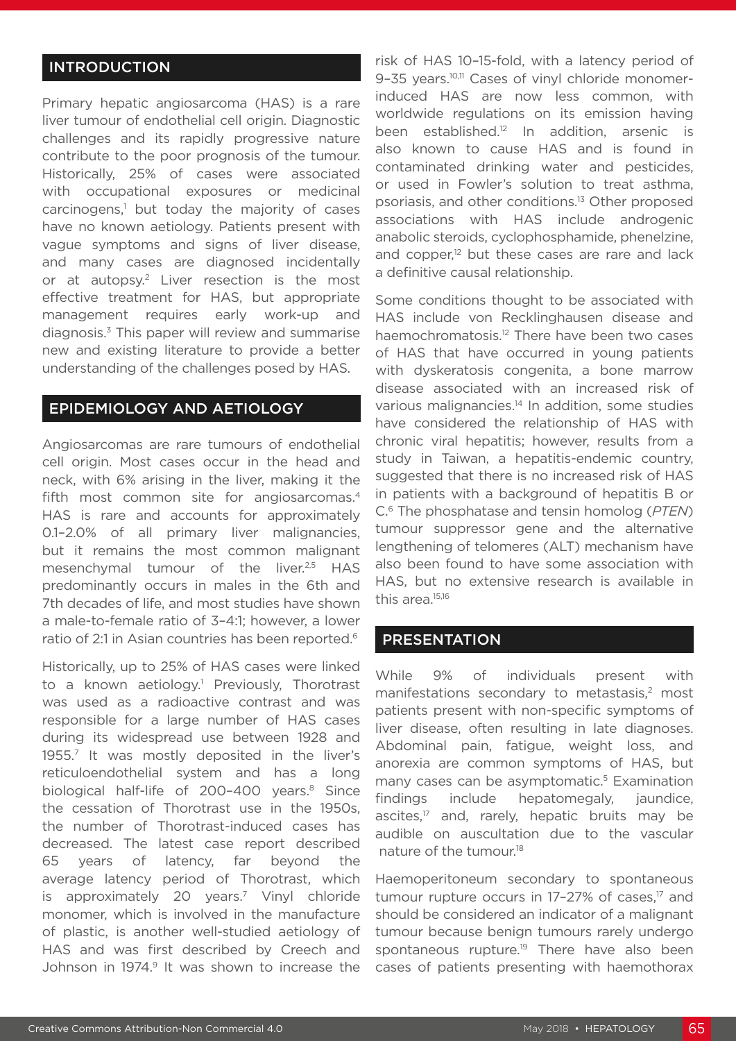#### INTRODUCTION

Primary hepatic angiosarcoma (HAS) is a rare liver tumour of endothelial cell origin. Diagnostic challenges and its rapidly progressive nature contribute to the poor prognosis of the tumour. Historically, 25% of cases were associated with occupational exposures or medicinal carcinogens,<sup>1</sup> but today the majority of cases have no known aetiology. Patients present with vague symptoms and signs of liver disease, and many cases are diagnosed incidentally or at autopsy.2 Liver resection is the most effective treatment for HAS, but appropriate management requires early work-up and diagnosis.3 This paper will review and summarise new and existing literature to provide a better understanding of the challenges posed by HAS.

#### EPIDEMIOLOGY AND AETIOLOGY

Angiosarcomas are rare tumours of endothelial cell origin. Most cases occur in the head and neck, with 6% arising in the liver, making it the fifth most common site for angiosarcomas.<sup>4</sup> HAS is rare and accounts for approximately 0.1–2.0% of all primary liver malignancies, but it remains the most common malignant mesenchymal tumour of the liver.<sup>2,5</sup> HAS predominantly occurs in males in the 6th and 7th decades of life, and most studies have shown a male-to-female ratio of 3–4:1; however, a lower ratio of 2:1 in Asian countries has been reported.<sup>6</sup>

Historically, up to 25% of HAS cases were linked to a known aetiology.<sup>1</sup> Previously, Thorotrast was used as a radioactive contrast and was responsible for a large number of HAS cases during its widespread use between 1928 and 1955.7 It was mostly deposited in the liver's reticuloendothelial system and has a long biological half-life of 200-400 years.<sup>8</sup> Since the cessation of Thorotrast use in the 1950s, the number of Thorotrast-induced cases has decreased. The latest case report described 65 years of latency, far beyond the average latency period of Thorotrast, which is approximately 20 years.<sup>7</sup> Vinyl chloride monomer, which is involved in the manufacture of plastic, is another well-studied aetiology of HAS and was first described by Creech and Johnson in 1974.<sup>9</sup> It was shown to increase the

risk of HAS 10–15-fold, with a latency period of 9-35 years.<sup>10,11</sup> Cases of vinyl chloride monomerinduced HAS are now less common, with worldwide regulations on its emission having been established.<sup>12</sup> In addition, arsenic is also known to cause HAS and is found in contaminated drinking water and pesticides, or used in Fowler's solution to treat asthma, psoriasis, and other conditions.13 Other proposed associations with HAS include androgenic anabolic steroids, cyclophosphamide, phenelzine, and copper, $12$  but these cases are rare and lack a definitive causal relationship.

Some conditions thought to be associated with HAS include von Recklinghausen disease and haemochromatosis.12 There have been two cases of HAS that have occurred in young patients with dyskeratosis congenita, a bone marrow disease associated with an increased risk of various malignancies.<sup>14</sup> In addition, some studies have considered the relationship of HAS with chronic viral hepatitis; however, results from a study in Taiwan, a hepatitis-endemic country, suggested that there is no increased risk of HAS in patients with a background of hepatitis B or C.6 The phosphatase and tensin homolog (*PTEN*) tumour suppressor gene and the alternative lengthening of telomeres (ALT) mechanism have also been found to have some association with HAS, but no extensive research is available in this area.<sup>15,16</sup>

#### PRESENTATION

While 9% of individuals present with manifestations secondary to metastasis,<sup>2</sup> most patients present with non-specific symptoms of liver disease, often resulting in late diagnoses. Abdominal pain, fatigue, weight loss, and anorexia are common symptoms of HAS, but many cases can be asymptomatic.<sup>5</sup> Examination findings include hepatomegaly, jaundice, ascites,<sup>17</sup> and, rarely, hepatic bruits may be audible on auscultation due to the vascular nature of the tumour.18

Haemoperitoneum secondary to spontaneous tumour rupture occurs in 17-27% of cases,<sup>17</sup> and should be considered an indicator of a malignant tumour because benign tumours rarely undergo spontaneous rupture.<sup>19</sup> There have also been cases of patients presenting with haemothorax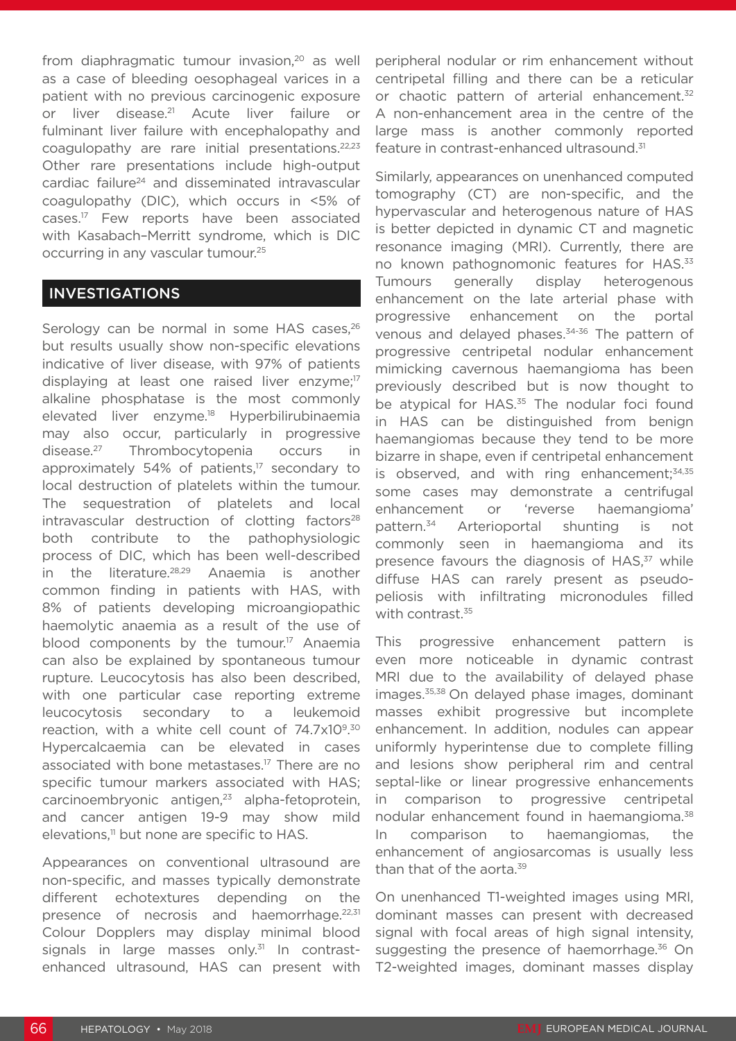from diaphragmatic tumour invasion,<sup>20</sup> as well as a case of bleeding oesophageal varices in a patient with no previous carcinogenic exposure or liver disease.<sup>21</sup> Acute liver failure or fulminant liver failure with encephalopathy and coagulopathy are rare initial presentations.22,23 Other rare presentations include high-output cardiac failure<sup>24</sup> and disseminated intravascular coagulopathy (DIC), which occurs in <5% of cases.17 Few reports have been associated with Kasabach–Merritt syndrome, which is DIC occurring in any vascular tumour.25

#### INVESTIGATIONS

Serology can be normal in some HAS cases,<sup>26</sup> but results usually show non-specific elevations indicative of liver disease, with 97% of patients displaying at least one raised liver enzyme;<sup>17</sup> alkaline phosphatase is the most commonly elevated liver enzyme.18 Hyperbilirubinaemia may also occur, particularly in progressive disease.27 Thrombocytopenia occurs in approximately 54% of patients, $17$  secondary to local destruction of platelets within the tumour. The sequestration of platelets and local  $intravascular$  destruction of clotting factors<sup>28</sup> both contribute to the pathophysiologic process of DIC, which has been well-described in the literature.28,29 Anaemia is another common finding in patients with HAS, with 8% of patients developing microangiopathic haemolytic anaemia as a result of the use of blood components by the tumour.<sup>17</sup> Anaemia can also be explained by spontaneous tumour rupture. Leucocytosis has also been described, with one particular case reporting extreme leucocytosis secondary to a leukemoid reaction, with a white cell count of 74.7x109.30 Hypercalcaemia can be elevated in cases associated with bone metastases.17 There are no specific tumour markers associated with HAS; carcinoembryonic antigen,<sup>23</sup> alpha-fetoprotein, and cancer antigen 19-9 may show mild elevations,<sup>11</sup> but none are specific to HAS.

Appearances on conventional ultrasound are non-specific, and masses typically demonstrate different echotextures depending on the presence of necrosis and haemorrhage.<sup>22,31</sup> Colour Dopplers may display minimal blood signals in large masses only. $31$  In contrastenhanced ultrasound, HAS can present with peripheral nodular or rim enhancement without centripetal filling and there can be a reticular or chaotic pattern of arterial enhancement.<sup>32</sup> A non-enhancement area in the centre of the large mass is another commonly reported feature in contrast-enhanced ultrasound.<sup>31</sup>

Similarly, appearances on unenhanced computed tomography (CT) are non-specific, and the hypervascular and heterogenous nature of HAS is better depicted in dynamic CT and magnetic resonance imaging (MRI). Currently, there are no known pathognomonic features for HAS.<sup>33</sup> Tumours generally display heterogenous enhancement on the late arterial phase with progressive enhancement on the portal venous and delayed phases.<sup>34-36</sup> The pattern of progressive centripetal nodular enhancement mimicking cavernous haemangioma has been previously described but is now thought to be atypical for HAS.<sup>35</sup> The nodular foci found in HAS can be distinguished from benign haemangiomas because they tend to be more bizarre in shape, even if centripetal enhancement is observed, and with ring enhancement; $34,35$ some cases may demonstrate a centrifugal enhancement or 'reverse haemangioma' pattern.34 Arterioportal shunting is not commonly seen in haemangioma and its presence favours the diagnosis of HAS,<sup>37</sup> while diffuse HAS can rarely present as pseudopeliosis with infiltrating micronodules filled with contrast.<sup>35</sup>

This progressive enhancement pattern is even more noticeable in dynamic contrast MRI due to the availability of delayed phase images.35,38 On delayed phase images, dominant masses exhibit progressive but incomplete enhancement. In addition, nodules can appear uniformly hyperintense due to complete filling and lesions show peripheral rim and central septal-like or linear progressive enhancements in comparison to progressive centripetal nodular enhancement found in haemangioma.<sup>38</sup> In comparison to haemangiomas, the enhancement of angiosarcomas is usually less than that of the aorta.<sup>39</sup>

On unenhanced T1-weighted images using MRI, dominant masses can present with decreased signal with focal areas of high signal intensity, suggesting the presence of haemorrhage.<sup>36</sup> On T2-weighted images, dominant masses display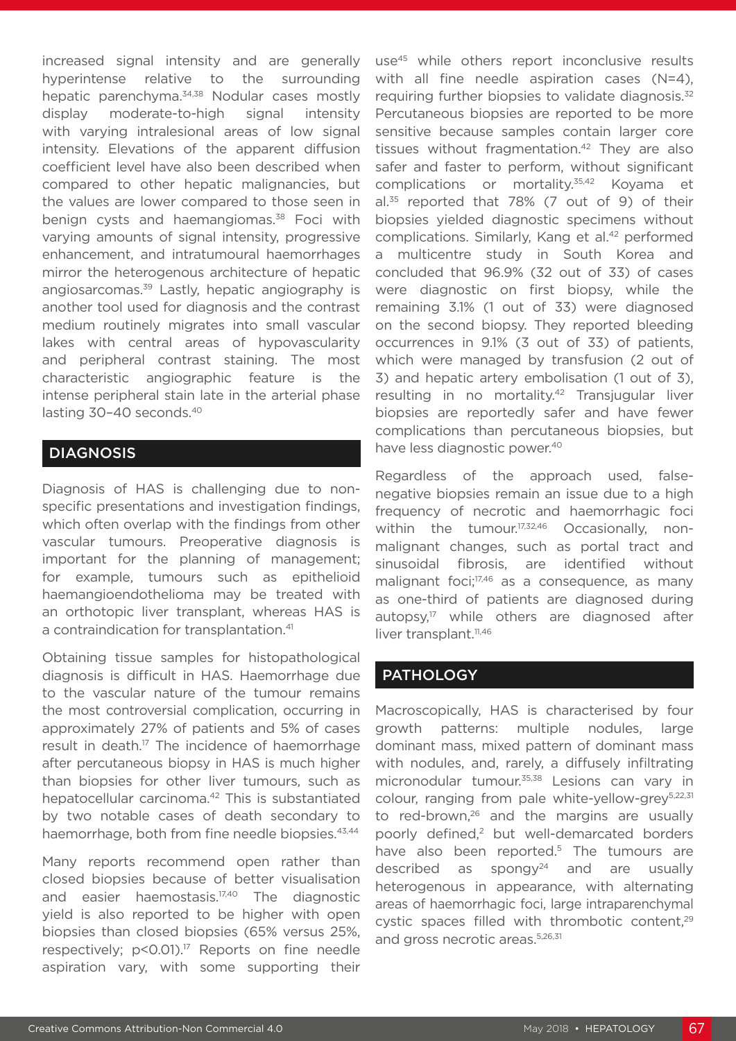increased signal intensity and are generally hyperintense relative to the surrounding hepatic parenchyma.<sup>34,38</sup> Nodular cases mostly display moderate-to-high signal intensity with varying intralesional areas of low signal intensity. Elevations of the apparent diffusion coefficient level have also been described when compared to other hepatic malignancies, but the values are lower compared to those seen in benign cysts and haemangiomas.<sup>38</sup> Foci with varying amounts of signal intensity, progressive enhancement, and intratumoural haemorrhages mirror the heterogenous architecture of hepatic angiosarcomas.<sup>39</sup> Lastly, hepatic angiography is another tool used for diagnosis and the contrast medium routinely migrates into small vascular lakes with central areas of hypovascularity and peripheral contrast staining. The most characteristic angiographic feature is the intense peripheral stain late in the arterial phase lasting 30-40 seconds.<sup>40</sup>

#### **DIAGNOSIS**

Diagnosis of HAS is challenging due to nonspecific presentations and investigation findings, which often overlap with the findings from other vascular tumours. Preoperative diagnosis is important for the planning of management; for example, tumours such as epithelioid haemangioendothelioma may be treated with an orthotopic liver transplant, whereas HAS is a contraindication for transplantation.<sup>41</sup>

Obtaining tissue samples for histopathological diagnosis is difficult in HAS. Haemorrhage due to the vascular nature of the tumour remains the most controversial complication, occurring in approximately 27% of patients and 5% of cases result in death.<sup>17</sup> The incidence of haemorrhage after percutaneous biopsy in HAS is much higher than biopsies for other liver tumours, such as hepatocellular carcinoma.<sup>42</sup> This is substantiated by two notable cases of death secondary to haemorrhage, both from fine needle biopsies.<sup>43,44</sup>

Many reports recommend open rather than closed biopsies because of better visualisation and easier haemostasis.17,40 The diagnostic yield is also reported to be higher with open biopsies than closed biopsies (65% versus 25%, respectively; p<0.01).<sup>17</sup> Reports on fine needle aspiration vary, with some supporting their

use<sup>45</sup> while others report inconclusive results with all fine needle aspiration cases (N=4), requiring further biopsies to validate diagnosis.<sup>32</sup> Percutaneous biopsies are reported to be more sensitive because samples contain larger core tissues without fragmentation.<sup>42</sup> They are also safer and faster to perform, without significant complications or mortality.<sup>35,42</sup> Koyama et  $al.^{35}$  reported that 78% (7 out of 9) of their biopsies yielded diagnostic specimens without complications. Similarly, Kang et al.<sup>42</sup> performed a multicentre study in South Korea and concluded that 96.9% (32 out of 33) of cases were diagnostic on first biopsy, while the remaining 3.1% (1 out of 33) were diagnosed on the second biopsy. They reported bleeding occurrences in 9.1% (3 out of 33) of patients, which were managed by transfusion (2 out of 3) and hepatic artery embolisation (1 out of 3), resulting in no mortality.42 Transjugular liver biopsies are reportedly safer and have fewer complications than percutaneous biopsies, but have less diagnostic power.<sup>40</sup>

Regardless of the approach used, falsenegative biopsies remain an issue due to a high frequency of necrotic and haemorrhagic foci within the tumour.<sup>17,32,46</sup> Occasionally, nonmalignant changes, such as portal tract and sinusoidal fibrosis, are identified without malignant foci;<sup>17,46</sup> as a consequence, as many as one-third of patients are diagnosed during autopsy,<sup>17</sup> while others are diagnosed after liver transplant.<sup>11,46</sup>

### **PATHOLOGY**

Macroscopically, HAS is characterised by four growth patterns: multiple nodules, large dominant mass, mixed pattern of dominant mass with nodules, and, rarely, a diffusely infiltrating micronodular tumour.<sup>35,38</sup> Lesions can vary in colour, ranging from pale white-yellow-grey<sup>5,22,31</sup> to red-brown,<sup>26</sup> and the margins are usually poorly defined,<sup>2</sup> but well-demarcated borders have also been reported.<sup>5</sup> The tumours are described as spongy<sup>24</sup> and are usually heterogenous in appearance, with alternating areas of haemorrhagic foci, large intraparenchymal cystic spaces filled with thrombotic content.<sup>29</sup> and gross necrotic areas.<sup>5,26,31</sup>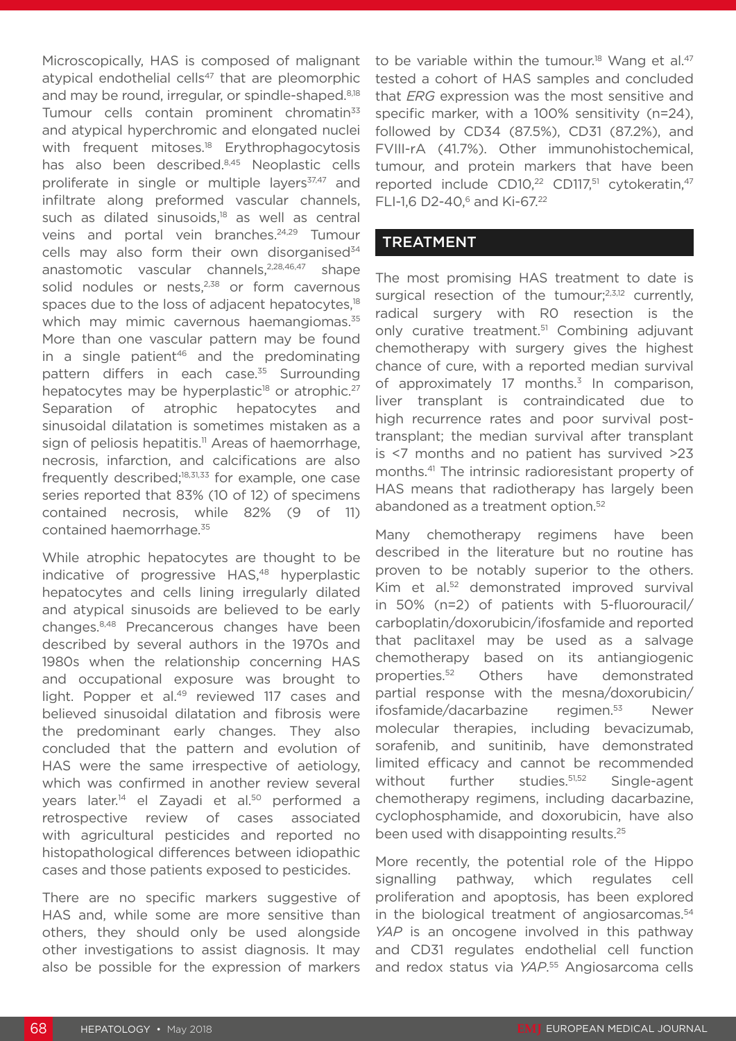Microscopically, HAS is composed of malignant atypical endothelial cells $47$  that are pleomorphic and may be round, irregular, or spindle-shaped.<sup>8,18</sup> Tumour cells contain prominent chromatin<sup>33</sup> and atypical hyperchromic and elongated nuclei with frequent mitoses.<sup>18</sup> Erythrophagocytosis has also been described.8,45 Neoplastic cells proliferate in single or multiple layers<sup>37,47</sup> and infiltrate along preformed vascular channels, such as dilated sinusoids, $18$  as well as central veins and portal vein branches.<sup>24,29</sup> Tumour cells may also form their own disorganised<sup>34</sup> anastomotic vascular channels,<sup>2,28,46,47</sup> shape solid nodules or nests, $2,38$  or form cavernous spaces due to the loss of adjacent hepatocytes,<sup>18</sup> which may mimic cavernous haemangiomas.<sup>35</sup> More than one vascular pattern may be found in a single patient<sup>46</sup> and the predominating pattern differs in each case.<sup>35</sup> Surrounding hepatocytes may be hyperplastic<sup>18</sup> or atrophic.<sup>27</sup> Separation of atrophic hepatocytes and sinusoidal dilatation is sometimes mistaken as a sign of peliosis hepatitis.<sup>11</sup> Areas of haemorrhage, necrosis, infarction, and calcifications are also frequently described; $18,31,33$  for example, one case series reported that 83% (10 of 12) of specimens contained necrosis, while 82% (9 of 11) contained haemorrhage.35

While atrophic hepatocytes are thought to be indicative of progressive HAS,<sup>48</sup> hyperplastic hepatocytes and cells lining irregularly dilated and atypical sinusoids are believed to be early changes.8,48 Precancerous changes have been described by several authors in the 1970s and 1980s when the relationship concerning HAS and occupational exposure was brought to light. Popper et al.<sup>49</sup> reviewed 117 cases and believed sinusoidal dilatation and fibrosis were the predominant early changes. They also concluded that the pattern and evolution of HAS were the same irrespective of aetiology, which was confirmed in another review several years later.<sup>14</sup> el Zayadi et al.<sup>50</sup> performed a retrospective review of cases associated with agricultural pesticides and reported no histopathological differences between idiopathic cases and those patients exposed to pesticides.

There are no specific markers suggestive of HAS and, while some are more sensitive than others, they should only be used alongside other investigations to assist diagnosis. It may also be possible for the expression of markers

to be variable within the tumour.<sup>18</sup> Wang et al.<sup>47</sup> tested a cohort of HAS samples and concluded that *ERG* expression was the most sensitive and specific marker, with a 100% sensitivity (n=24), followed by CD34 (87.5%), CD31 (87.2%), and FVIII-rA (41.7%). Other immunohistochemical, tumour, and protein markers that have been reported include CD10,<sup>22</sup> CD117,<sup>51</sup> cytokeratin,<sup>47</sup> FLI-1,6 D2-40,<sup>6</sup> and Ki-67.<sup>22</sup>

#### TREATMENT

The most promising HAS treatment to date is surgical resection of the tumour; $2,3,12$  currently, radical surgery with R0 resection is the only curative treatment.<sup>51</sup> Combining adjuvant chemotherapy with surgery gives the highest chance of cure, with a reported median survival of approximately 17 months. $3$  In comparison, liver transplant is contraindicated due to high recurrence rates and poor survival posttransplant; the median survival after transplant is <7 months and no patient has survived >23 months.41 The intrinsic radioresistant property of HAS means that radiotherapy has largely been abandoned as a treatment option.<sup>52</sup>

Many chemotherapy regimens have been described in the literature but no routine has proven to be notably superior to the others. Kim et al.<sup>52</sup> demonstrated improved survival in 50% (n=2) of patients with 5-fluorouracil/ carboplatin/doxorubicin/ifosfamide and reported that paclitaxel may be used as a salvage chemotherapy based on its antiangiogenic properties.52 Others have demonstrated partial response with the mesna/doxorubicin/ ifosfamide/dacarbazine regimen.53 Newer molecular therapies, including bevacizumab, sorafenib, and sunitinib, have demonstrated limited efficacy and cannot be recommended without further studies.<sup>51,52</sup> Single-agent chemotherapy regimens, including dacarbazine, cyclophosphamide, and doxorubicin, have also been used with disappointing results.25

More recently, the potential role of the Hippo signalling pathway, which regulates cell proliferation and apoptosis, has been explored in the biological treatment of angiosarcomas.54 *YAP* is an oncogene involved in this pathway and CD31 regulates endothelial cell function and redox status via *YAP*. 55 Angiosarcoma cells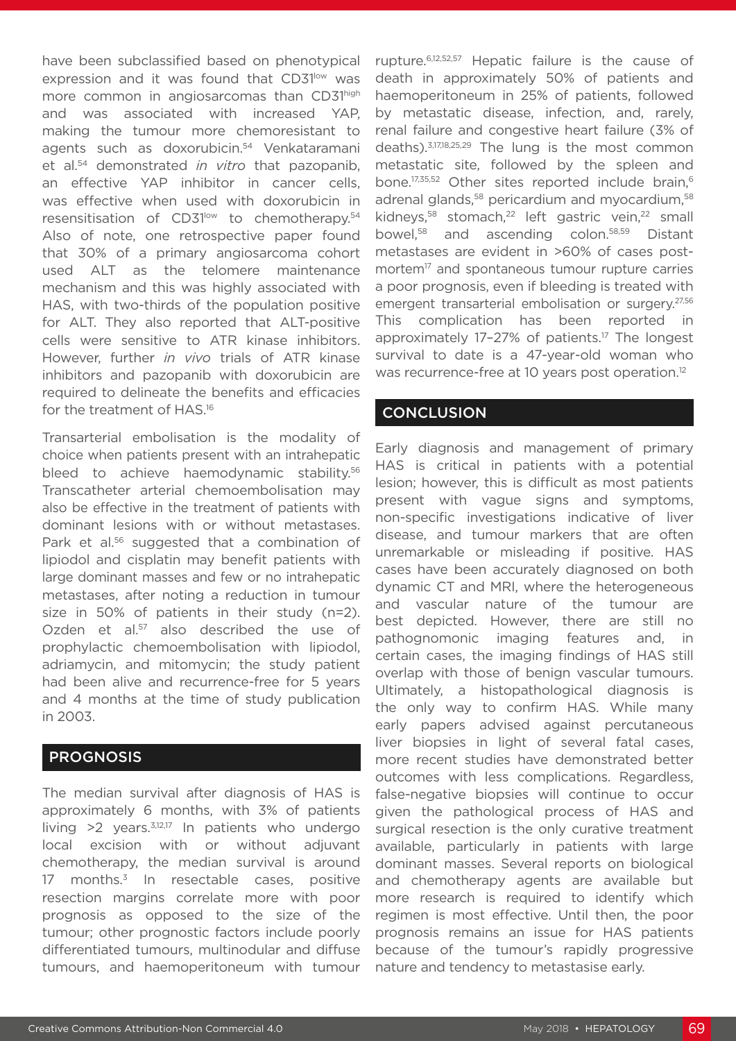have been subclassified based on phenotypical expression and it was found that CD31low was more common in angiosarcomas than CD31high and was associated with increased YAP, making the tumour more chemoresistant to agents such as doxorubicin.<sup>54</sup> Venkataramani et al.54 demonstrated *in vitro* that pazopanib, an effective YAP inhibitor in cancer cells, was effective when used with doxorubicin in resensitisation of CD31<sup>low</sup> to chemotherapy.<sup>54</sup> Also of note, one retrospective paper found that 30% of a primary angiosarcoma cohort used ALT as the telomere maintenance mechanism and this was highly associated with HAS, with two-thirds of the population positive for ALT. They also reported that ALT-positive cells were sensitive to ATR kinase inhibitors. However, further *in vivo* trials of ATR kinase inhibitors and pazopanib with doxorubicin are required to delineate the benefits and efficacies for the treatment of HAS.16

Transarterial embolisation is the modality of choice when patients present with an intrahepatic bleed to achieve haemodynamic stability.<sup>56</sup> Transcatheter arterial chemoembolisation may also be effective in the treatment of patients with dominant lesions with or without metastases. Park et al.<sup>56</sup> suggested that a combination of lipiodol and cisplatin may benefit patients with large dominant masses and few or no intrahepatic metastases, after noting a reduction in tumour size in 50% of patients in their study (n=2). Ozden et al.<sup>57</sup> also described the use of prophylactic chemoembolisation with lipiodol, adriamycin, and mitomycin; the study patient had been alive and recurrence-free for 5 years and 4 months at the time of study publication in 2003.

#### **PROGNOSIS**

The median survival after diagnosis of HAS is approximately 6 months, with 3% of patients living  $>2$  years.<sup>3,12,17</sup> In patients who undergo local excision with or without adjuvant chemotherapy, the median survival is around 17 months. $3$  In resectable cases, positive resection margins correlate more with poor prognosis as opposed to the size of the tumour; other prognostic factors include poorly differentiated tumours, multinodular and diffuse tumours, and haemoperitoneum with tumour rupture.6,12,52,57 Hepatic failure is the cause of death in approximately 50% of patients and haemoperitoneum in 25% of patients, followed by metastatic disease, infection, and, rarely, renal failure and congestive heart failure (3% of deaths).3,17,18,25,29 The lung is the most common metastatic site, followed by the spleen and bone.<sup>17,35,52</sup> Other sites reported include brain,<sup>6</sup> adrenal glands,<sup>58</sup> pericardium and myocardium,<sup>58</sup> kidneys,<sup>58</sup> stomach,<sup>22</sup> left gastric vein,<sup>22</sup> small bowel,58 and ascending colon.58,59 Distant metastases are evident in >60% of cases postmortem<sup>17</sup> and spontaneous tumour rupture carries a poor prognosis, even if bleeding is treated with emergent transarterial embolisation or surgery.<sup>27,56</sup> This complication has been reported in approximately 17-27% of patients.<sup>17</sup> The longest survival to date is a 47-year-old woman who was recurrence-free at 10 years post operation.<sup>12</sup>

#### **CONCLUSION**

Early diagnosis and management of primary HAS is critical in patients with a potential lesion; however, this is difficult as most patients present with vague signs and symptoms, non-specific investigations indicative of liver disease, and tumour markers that are often unremarkable or misleading if positive. HAS cases have been accurately diagnosed on both dynamic CT and MRI, where the heterogeneous and vascular nature of the tumour are best depicted. However, there are still no pathognomonic imaging features and, in certain cases, the imaging findings of HAS still overlap with those of benign vascular tumours. Ultimately, a histopathological diagnosis is the only way to confirm HAS. While many early papers advised against percutaneous liver biopsies in light of several fatal cases, more recent studies have demonstrated better outcomes with less complications. Regardless, false-negative biopsies will continue to occur given the pathological process of HAS and surgical resection is the only curative treatment available, particularly in patients with large dominant masses. Several reports on biological and chemotherapy agents are available but more research is required to identify which regimen is most effective. Until then, the poor prognosis remains an issue for HAS patients because of the tumour's rapidly progressive nature and tendency to metastasise early.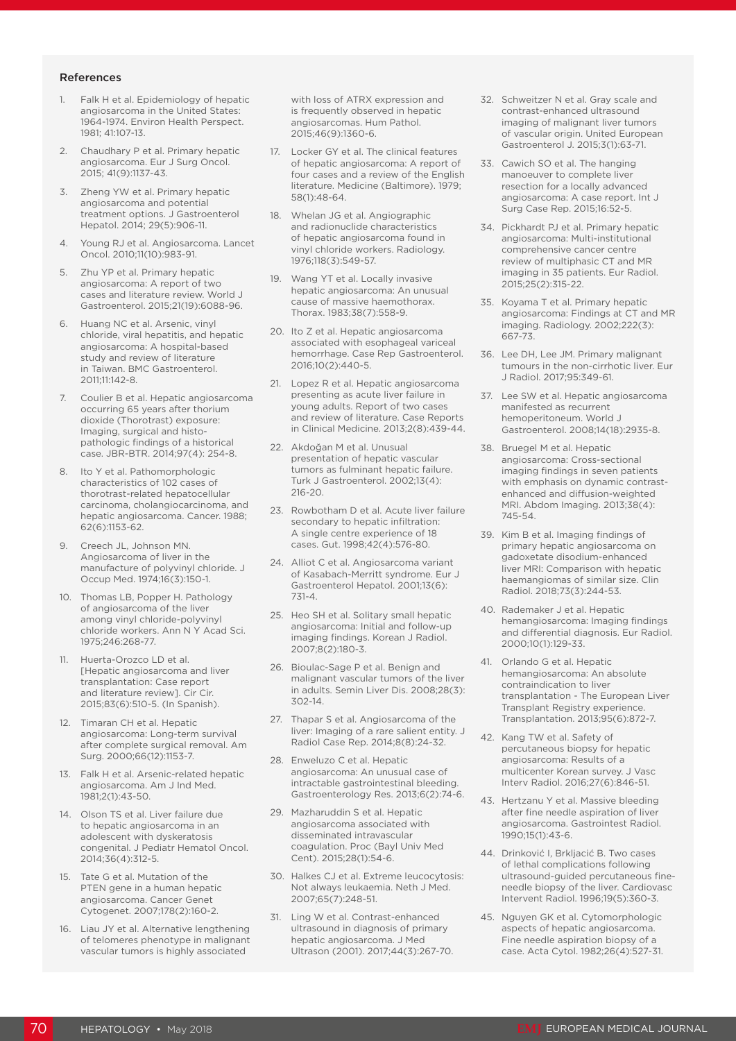#### References

- 1. Falk H et al. Epidemiology of hepatic angiosarcoma in the United States: 1964-1974. Environ Health Perspect. 1981; 41:107-13.
- Chaudhary P et al. Primary hepatic angiosarcoma. Eur J Surg Oncol. 2015; 41(9):1137-43.
- 3. Zheng YW et al. Primary hepatic angiosarcoma and potential treatment options. J Gastroenterol Hepatol. 2014; 29(5):906-11.
- 4. Young RJ et al. Angiosarcoma. Lancet Oncol. 2010;11(10):983-91.
- 5. Zhu YP et al. Primary hepatic angiosarcoma: A report of two cases and literature review. World J Gastroenterol. 2015;21(19):6088-96.
- 6. Huang NC et al. Arsenic, vinyl chloride, viral hepatitis, and hepatic angiosarcoma: A hospital-based study and review of literature in Taiwan. BMC Gastroenterol. 2011;11:142-8.
- Coulier B et al. Hepatic angiosarcoma occurring 65 years after thorium dioxide (Thorotrast) exposure: Imaging, surgical and histopathologic findings of a historical case. JBR-BTR. 2014;97(4): 254-8.
- 8. Ito Y et al. Pathomorphologic characteristics of 102 cases of thorotrast-related hepatocellular carcinoma, cholangiocarcinoma, and hepatic angiosarcoma. Cancer. 1988; 62(6):1153-62.
- 9. Creech JL, Johnson MN. Angiosarcoma of liver in the manufacture of polyvinyl chloride. J Occup Med. 1974;16(3):150-1.
- 10. Thomas LB, Popper H. Pathology of angiosarcoma of the liver among vinyl chloride-polyvinyl chloride workers. Ann N Y Acad Sci. 1975;246:268-77.
- 11. Huerta-Orozco LD et al. [Hepatic angiosarcoma and liver transplantation: Case report and literature review]. Cir Cir. 2015;83(6):510-5. (In Spanish).
- 12. Timaran CH et al. Hepatic angiosarcoma: Long-term survival after complete surgical removal. Am Surg. 2000;66(12):1153-7.
- 13. Falk H et al. Arsenic-related hepatic angiosarcoma. Am J Ind Med. 1981;2(1):43-50.
- 14. Olson TS et al. Liver failure due to hepatic angiosarcoma in an adolescent with dyskeratosis congenital. J Pediatr Hematol Oncol. 2014;36(4):312-5.
- 15. Tate G et al. Mutation of the PTEN gene in a human hepatic angiosarcoma. Cancer Genet Cytogenet. 2007;178(2):160-2.
- 16. Liau JY et al. Alternative lengthening of telomeres phenotype in malignant vascular tumors is highly associated

with loss of ATRX expression and is frequently observed in hepatic angiosarcomas. Hum Pathol. 2015;46(9):1360-6.

- 17. Locker GY et al. The clinical features of hepatic angiosarcoma: A report of four cases and a review of the English literature. Medicine (Baltimore). 1979; 58(1):48-64.
- 18. Whelan JG et al. Angiographic and radionuclide characteristics of hepatic angiosarcoma found in vinyl chloride workers. Radiology. 1976;118(3):549-57.
- 19. Wang YT et al. Locally invasive hepatic angiosarcoma: An unusual cause of massive haemothorax. Thorax. 1983;38(7):558-9.
- 20. Ito Z et al. Hepatic angiosarcoma associated with esophageal variceal hemorrhage. Case Rep Gastroenterol. 2016;10(2):440-5.
- 21. Lopez R et al. Hepatic angiosarcoma presenting as acute liver failure in young adults. Report of two cases and review of literature. Case Reports in Clinical Medicine. 2013;2(8):439-44.
- 22. Akdoğan M et al. Unusual presentation of hepatic vascular tumors as fulminant hepatic failure. Turk J Gastroenterol. 2002;13(4): 216-20.
- 23. Rowbotham D et al. Acute liver failure secondary to hepatic infiltration: A single centre experience of 18 cases. Gut. 1998;42(4):576-80.
- 24. Alliot C et al. Angiosarcoma variant of Kasabach-Merritt syndrome. Eur J Gastroenterol Hepatol. 2001;13(6): 731-4.
- 25. Heo SH et al. Solitary small hepatic angiosarcoma: Initial and follow-up imaging findings. Korean J Radiol. 2007;8(2):180-3.
- 26. Bioulac-Sage P et al. Benign and malignant vascular tumors of the liver in adults. Semin Liver Dis. 2008;28(3): 302-14.
- 27. Thapar S et al. Angiosarcoma of the liver: Imaging of a rare salient entity. J Radiol Case Rep. 2014;8(8):24-32.
- 28. Enweluzo C et al. Hepatic angiosarcoma: An unusual case of intractable gastrointestinal bleeding. Gastroenterology Res. 2013;6(2):74-6.
- 29. Mazharuddin S et al. Hepatic angiosarcoma associated with disseminated intravascular coagulation. Proc (Bayl Univ Med Cent). 2015;28(1):54-6.
- 30. Halkes CJ et al. Extreme leucocytosis: Not always leukaemia. Neth J Med. 2007;65(7):248-51.
- 31. Ling W et al. Contrast-enhanced ultrasound in diagnosis of primary hepatic angiosarcoma. J Med Ultrason (2001). 2017;44(3):267-70.
- 32. Schweitzer N et al. Gray scale and contrast-enhanced ultrasound imaging of malignant liver tumors of vascular origin. United European Gastroenterol J. 2015;3(1):63-71.
- 33. Cawich SO et al. The hanging manoeuver to complete liver resection for a locally advanced angiosarcoma: A case report. Int J Surg Case Rep. 2015;16:52-5.
- 34. Pickhardt PJ et al. Primary hepatic angiosarcoma: Multi-institutional comprehensive cancer centre review of multiphasic CT and MR imaging in 35 patients. Eur Radiol. 2015;25(2):315-22.
- 35. Koyama T et al. Primary hepatic angiosarcoma: Findings at CT and MR imaging. Radiology. 2002;222(3): 667-73.
- 36. Lee DH, Lee JM. Primary malignant tumours in the non-cirrhotic liver. Eur J Radiol. 2017;95:349-61.
- 37. Lee SW et al. Hepatic angiosarcoma manifested as recurrent hemoperitoneum. World J Gastroenterol. 2008;14(18):2935-8.
- 38. Bruegel M et al. Hepatic angiosarcoma: Cross-sectional imaging findings in seven patients with emphasis on dynamic contrastenhanced and diffusion-weighted MRI. Abdom Imaging. 2013;38(4): 745-54.
- 39. Kim B et al. Imaging findings of primary hepatic angiosarcoma on gadoxetate disodium-enhanced liver MRI: Comparison with hepatic haemangiomas of similar size. Clin Radiol. 2018;73(3):244-53.
- 40. Rademaker J et al. Hepatic hemangiosarcoma: Imaging findings and differential diagnosis. Eur Radiol. 2000;10(1):129-33.
- 41. Orlando G et al. Hepatic hemangiosarcoma: An absolute contraindication to liver transplantation - The European Liver Transplant Registry experience. Transplantation. 2013;95(6):872-7.
- 42. Kang TW et al. Safety of percutaneous biopsy for hepatic angiosarcoma: Results of a multicenter Korean survey. J Vasc Interv Radiol. 2016;27(6):846-51.
- 43. Hertzanu Y et al. Massive bleeding after fine needle aspiration of liver angiosarcoma. Gastrointest Radiol. 1990;15(1):43-6.
- 44. Drinković I, Brkljacić B. Two cases of lethal complications following ultrasound-guided percutaneous fineneedle biopsy of the liver. Cardiovasc Intervent Radiol. 1996;19(5):360-3.
- 45. Nguyen GK et al. Cytomorphologic aspects of hepatic angiosarcoma. Fine needle aspiration biopsy of a case. Acta Cytol. 1982;26(4):527-31.